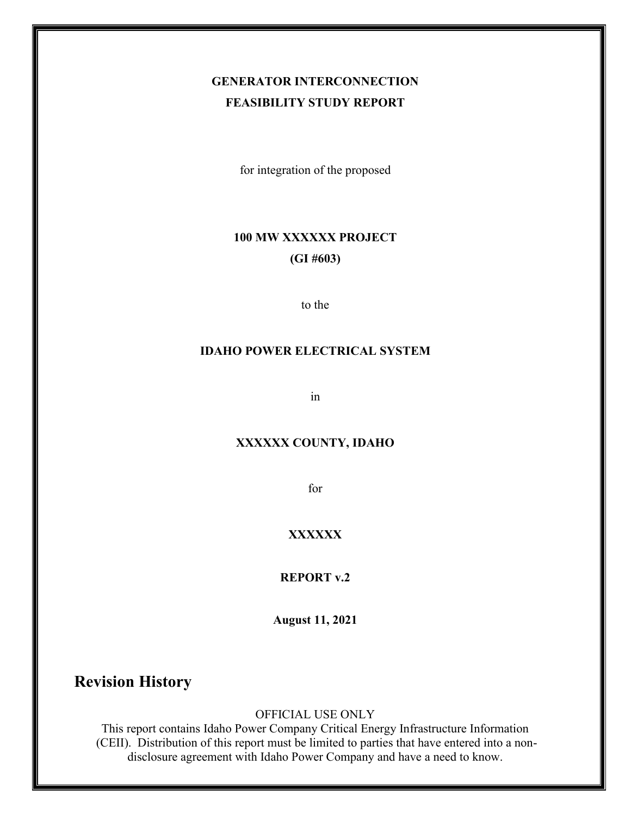### **GENERATOR INTERCONNECTION FEASIBILITY STUDY REPORT**

for integration of the proposed

## **100 MW XXXXXX PROJECT (GI #603)**

to the

#### **IDAHO POWER ELECTRICAL SYSTEM**

in

#### **XXXXXX COUNTY, IDAHO**

for

#### **XXXXXX**

**REPORT v.2**

**August 11, 2021**

**Revision History**

OFFICIAL USE ONLY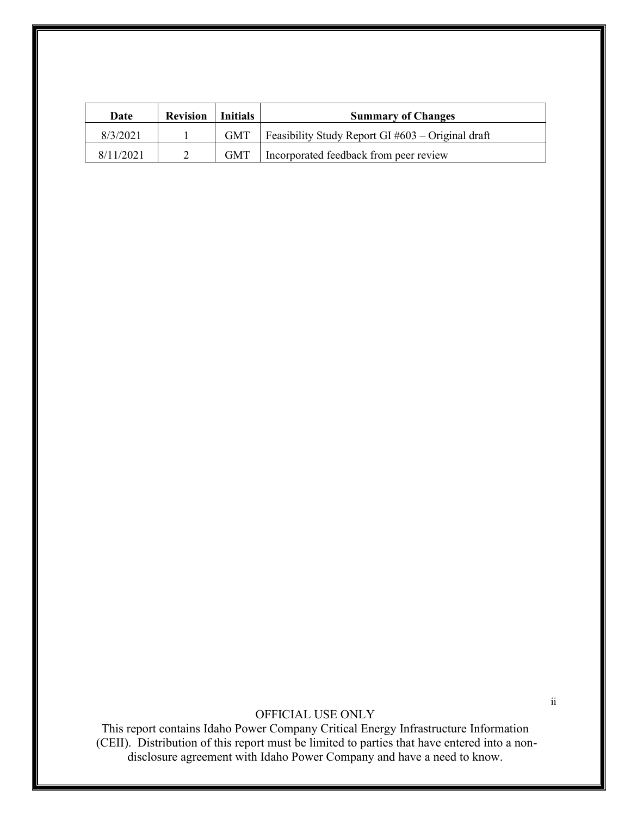| Date      | <b>Revision</b> | Initials | <b>Summary of Changes</b>                                 |
|-----------|-----------------|----------|-----------------------------------------------------------|
| 8/3/2021  |                 |          | $GMT$   Feasibility Study Report GI #603 – Original draft |
| 8/11/2021 |                 |          | GMT   Incorporated feedback from peer review              |

OFFICIAL USE ONLY

This report contains Idaho Power Company Critical Energy Infrastructure Information (CEII). Distribution of this report must be limited to parties that have entered into a nondisclosure agreement with Idaho Power Company and have a need to know.

ii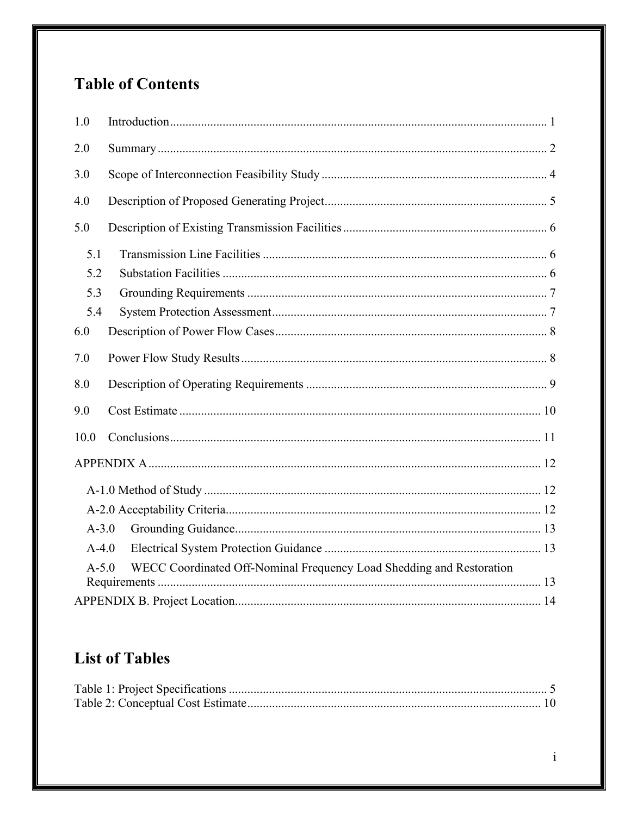# **Table of Contents**

| 1.0       |                                                                      |  |  |  |
|-----------|----------------------------------------------------------------------|--|--|--|
| 2.0       |                                                                      |  |  |  |
| 3.0       |                                                                      |  |  |  |
| 4.0       |                                                                      |  |  |  |
| 5.0       |                                                                      |  |  |  |
| 5.1       |                                                                      |  |  |  |
| 5.2       |                                                                      |  |  |  |
| 5.3       |                                                                      |  |  |  |
| 5.4       |                                                                      |  |  |  |
| 6.0       |                                                                      |  |  |  |
| 7.0       |                                                                      |  |  |  |
| 8.0       |                                                                      |  |  |  |
| 9.0       |                                                                      |  |  |  |
| 10.0      |                                                                      |  |  |  |
|           |                                                                      |  |  |  |
|           |                                                                      |  |  |  |
|           |                                                                      |  |  |  |
| $A-3.0$   |                                                                      |  |  |  |
| $A-4.0$   |                                                                      |  |  |  |
| $A - 5.0$ | WECC Coordinated Off-Nominal Frequency Load Shedding and Restoration |  |  |  |
|           |                                                                      |  |  |  |

# **List of Tables**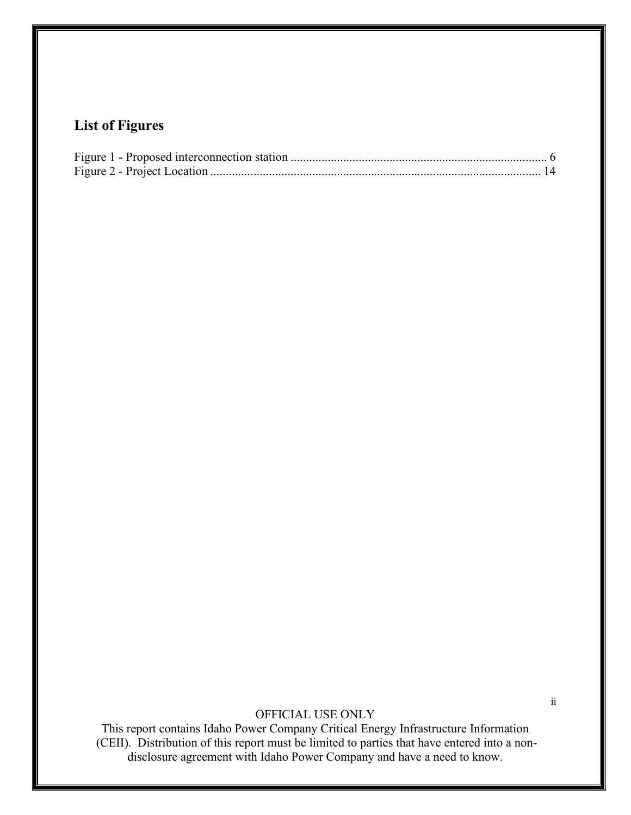# **List of Figures**

### OFFICIAL USE ONLY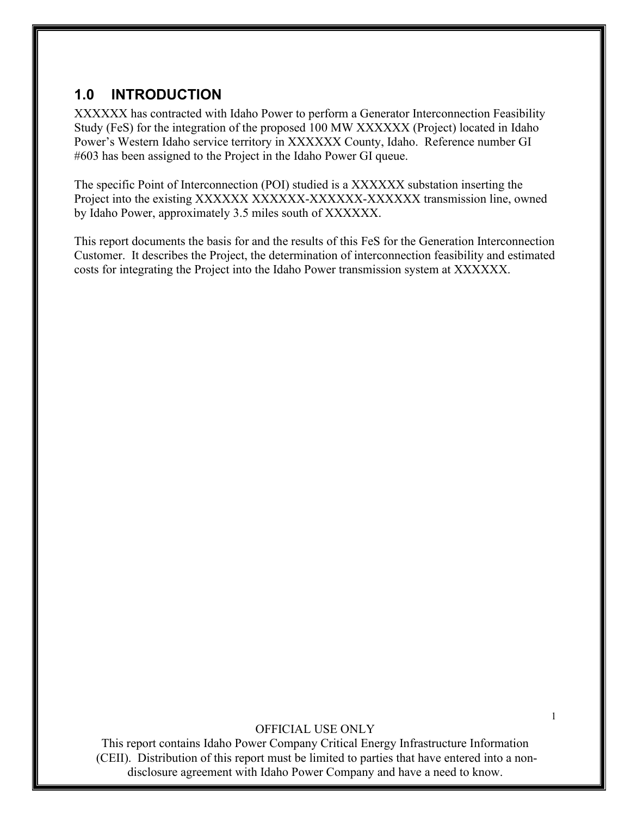### <span id="page-4-0"></span>**1.0 INTRODUCTION**

XXXXXX has contracted with Idaho Power to perform a Generator Interconnection Feasibility Study (FeS) for the integration of the proposed 100 MW XXXXXX (Project) located in Idaho Power's Western Idaho service territory in XXXXXX County, Idaho. Reference number GI #603 has been assigned to the Project in the Idaho Power GI queue.

The specific Point of Interconnection (POI) studied is a XXXXXX substation inserting the Project into the existing XXXXXX XXXXXX-XXXXX-XXXXXX transmission line, owned by Idaho Power, approximately 3.5 miles south of XXXXXX.

This report documents the basis for and the results of this FeS for the Generation Interconnection Customer. It describes the Project, the determination of interconnection feasibility and estimated costs for integrating the Project into the Idaho Power transmission system at XXXXXX.

#### OFFICIAL USE ONLY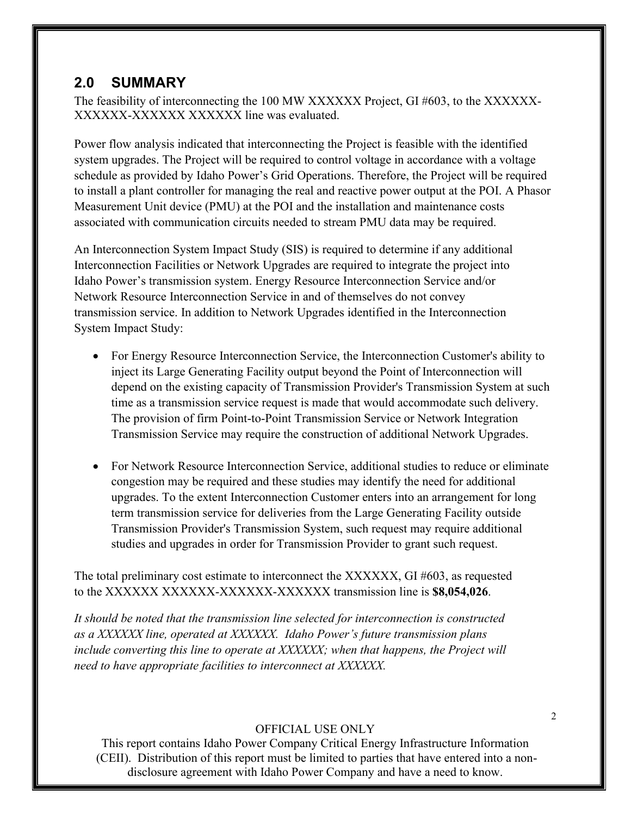### <span id="page-5-0"></span>**2.0 SUMMARY**

The feasibility of interconnecting the 100 MW XXXXXX Project, GI #603, to the XXXXXX-XXXXXX-XXXXXX XXXXXX line was evaluated.

Power flow analysis indicated that interconnecting the Project is feasible with the identified system upgrades. The Project will be required to control voltage in accordance with a voltage schedule as provided by Idaho Power's Grid Operations. Therefore, the Project will be required to install a plant controller for managing the real and reactive power output at the POI. A Phasor Measurement Unit device (PMU) at the POI and the installation and maintenance costs associated with communication circuits needed to stream PMU data may be required.

An Interconnection System Impact Study (SIS) is required to determine if any additional Interconnection Facilities or Network Upgrades are required to integrate the project into Idaho Power's transmission system. Energy Resource Interconnection Service and/or Network Resource Interconnection Service in and of themselves do not convey transmission service. In addition to Network Upgrades identified in the Interconnection System Impact Study:

- For Energy Resource Interconnection Service, the Interconnection Customer's ability to inject its Large Generating Facility output beyond the Point of Interconnection will depend on the existing capacity of Transmission Provider's Transmission System at such time as a transmission service request is made that would accommodate such delivery. The provision of firm Point-to-Point Transmission Service or Network Integration Transmission Service may require the construction of additional Network Upgrades.
- For Network Resource Interconnection Service, additional studies to reduce or eliminate congestion may be required and these studies may identify the need for additional upgrades. To the extent Interconnection Customer enters into an arrangement for long term transmission service for deliveries from the Large Generating Facility outside Transmission Provider's Transmission System, such request may require additional studies and upgrades in order for Transmission Provider to grant such request.

The total preliminary cost estimate to interconnect the XXXXXX, GI #603, as requested to the XXXXXX XXXXXX-XXXXXX-XXXXXX transmission line is **\$8,054,026**.

*It should be noted that the transmission line selected for interconnection is constructed as a XXXXXX line, operated at XXXXXX. Idaho Power's future transmission plans include converting this line to operate at XXXXXX; when that happens, the Project will need to have appropriate facilities to interconnect at XXXXXX.*

#### OFFICIAL USE ONLY

This report contains Idaho Power Company Critical Energy Infrastructure Information (CEII). Distribution of this report must be limited to parties that have entered into a nondisclosure agreement with Idaho Power Company and have a need to know.

 $\mathfrak{D}$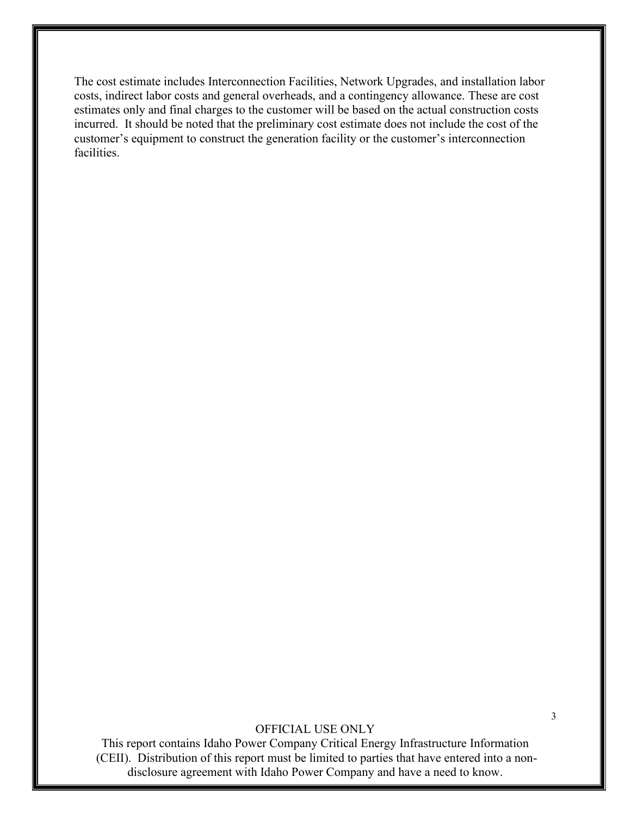The cost estimate includes Interconnection Facilities, Network Upgrades, and installation labor costs, indirect labor costs and general overheads, and a contingency allowance. These are cost estimates only and final charges to the customer will be based on the actual construction costs incurred. It should be noted that the preliminary cost estimate does not include the cost of the customer's equipment to construct the generation facility or the customer's interconnection facilities.

#### OFFICIAL USE ONLY

This report contains Idaho Power Company Critical Energy Infrastructure Information (CEII). Distribution of this report must be limited to parties that have entered into a nondisclosure agreement with Idaho Power Company and have a need to know.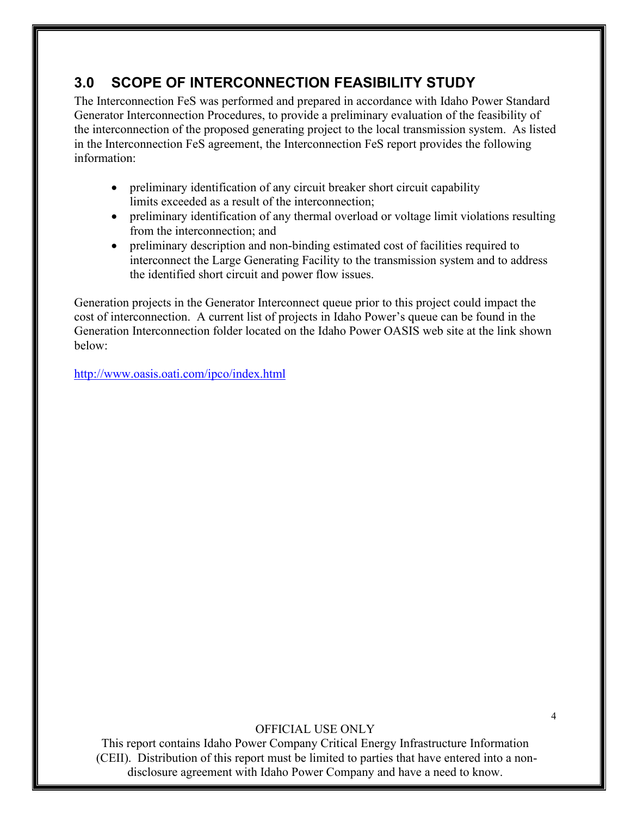# <span id="page-7-0"></span>**3.0 SCOPE OF INTERCONNECTION FEASIBILITY STUDY**

The Interconnection FeS was performed and prepared in accordance with Idaho Power Standard Generator Interconnection Procedures, to provide a preliminary evaluation of the feasibility of the interconnection of the proposed generating project to the local transmission system. As listed in the Interconnection FeS agreement, the Interconnection FeS report provides the following information:

- preliminary identification of any circuit breaker short circuit capability limits exceeded as a result of the interconnection;
- preliminary identification of any thermal overload or voltage limit violations resulting from the interconnection; and
- preliminary description and non-binding estimated cost of facilities required to interconnect the Large Generating Facility to the transmission system and to address the identified short circuit and power flow issues.

Generation projects in the Generator Interconnect queue prior to this project could impact the cost of interconnection.A current list of projects in Idaho Power's queue can be found in the Generation Interconnection folder located on the Idaho Power OASIS web site at the link shown below:

<http://www.oasis.oati.com/ipco/index.html>

#### OFFICIAL USE ONLY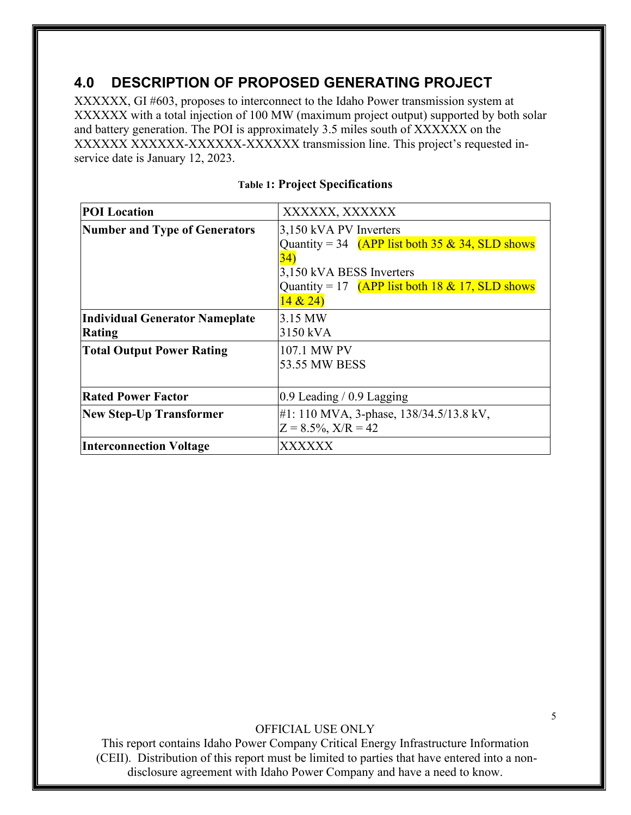## <span id="page-8-0"></span>**4.0 DESCRIPTION OF PROPOSED GENERATING PROJECT**

XXXXXX, GI #603, proposes to interconnect to the Idaho Power transmission system at XXXXXX with a total injection of 100 MW (maximum project output) supported by both solar and battery generation. The POI is approximately 3.5 miles south of XXXXXX on the XXXXXX XXXXXX-XXXXXX-XXXXXX transmission line. This project's requested inservice date is January 12, 2023.

<span id="page-8-1"></span>

| <b>POI</b> Location                             | XXXXXX, XXXXXX                                                                                                                                                                    |  |  |
|-------------------------------------------------|-----------------------------------------------------------------------------------------------------------------------------------------------------------------------------------|--|--|
| <b>Number and Type of Generators</b>            | 3,150 kVA PV Inverters<br>Quantity = 34 (APP list both 35 & 34, SLD shows<br><b>34)</b><br>3,150 kVA BESS Inverters<br>Quantity = 17 (APP list both 18 & 17, SLD shows<br>14 & 24 |  |  |
| <b>Individual Generator Nameplate</b><br>Rating | 3.15 MW<br>3150 kVA                                                                                                                                                               |  |  |
| <b>Total Output Power Rating</b>                | 107.1 MW PV<br>53.55 MW BESS                                                                                                                                                      |  |  |
| <b>Rated Power Factor</b>                       | $0.9$ Leading / 0.9 Lagging                                                                                                                                                       |  |  |
| <b>New Step-Up Transformer</b>                  | #1: 110 MVA, 3-phase, $138/34.5/13.8$ kV,<br>$Z = 8.5\%, X/R = 42$                                                                                                                |  |  |
| <b>Interconnection Voltage</b>                  | XXXXXX                                                                                                                                                                            |  |  |

#### **Table 1: Project Specifications**

#### OFFICIAL USE ONLY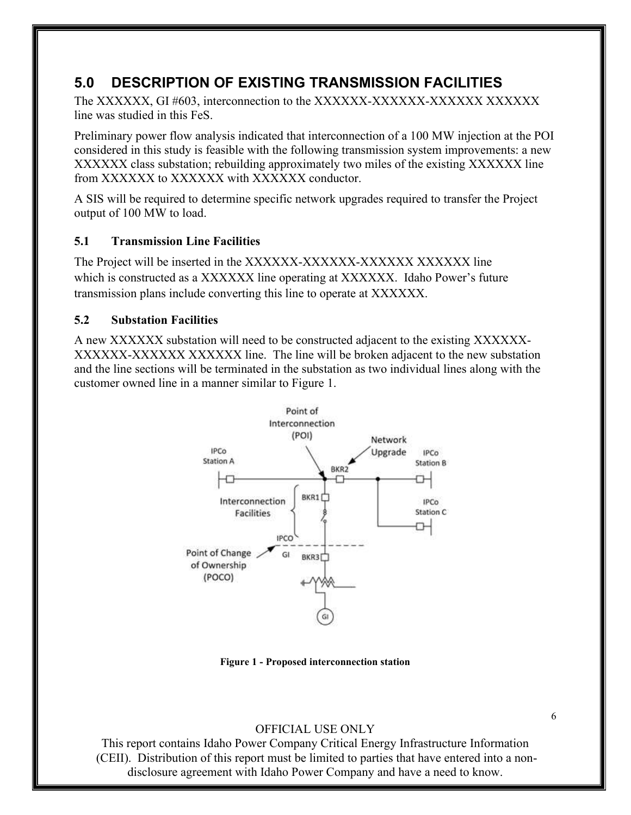# <span id="page-9-0"></span>**5.0 DESCRIPTION OF EXISTING TRANSMISSION FACILITIES**

The XXXXXX, GI #603, interconnection to the XXXXXX-XXXXXX-XXXXXX XXXXXX line was studied in this FeS.

Preliminary power flow analysis indicated that interconnection of a 100 MW injection at the POI considered in this study is feasible with the following transmission system improvements: a new XXXXXX class substation; rebuilding approximately two miles of the existing XXXXXX line from XXXXXX to XXXXXX with XXXXXX conductor.

A SIS will be required to determine specific network upgrades required to transfer the Project output of 100 MW to load.

#### <span id="page-9-1"></span>**5.1 Transmission Line Facilities**

The Project will be inserted in the XXXXXX-XXXXXX-XXXXXX XXXXXX line which is constructed as a XXXXXX line operating at XXXXXX. Idaho Power's future transmission plans include converting this line to operate at XXXXXX.

#### <span id="page-9-2"></span>**5.2 Substation Facilities**

A new XXXXXX substation will need to be constructed adjacent to the existing XXXXXX-XXXXXX-XXXXXX XXXXXX line. The line will be broken adjacent to the new substation and the line sections will be terminated in the substation as two individual lines along with the customer owned line in a manner similar to Figure 1.



#### **Figure 1 - Proposed interconnection station**

#### OFFICIAL USE ONLY

<span id="page-9-3"></span>This report contains Idaho Power Company Critical Energy Infrastructure Information (CEII). Distribution of this report must be limited to parties that have entered into a nondisclosure agreement with Idaho Power Company and have a need to know.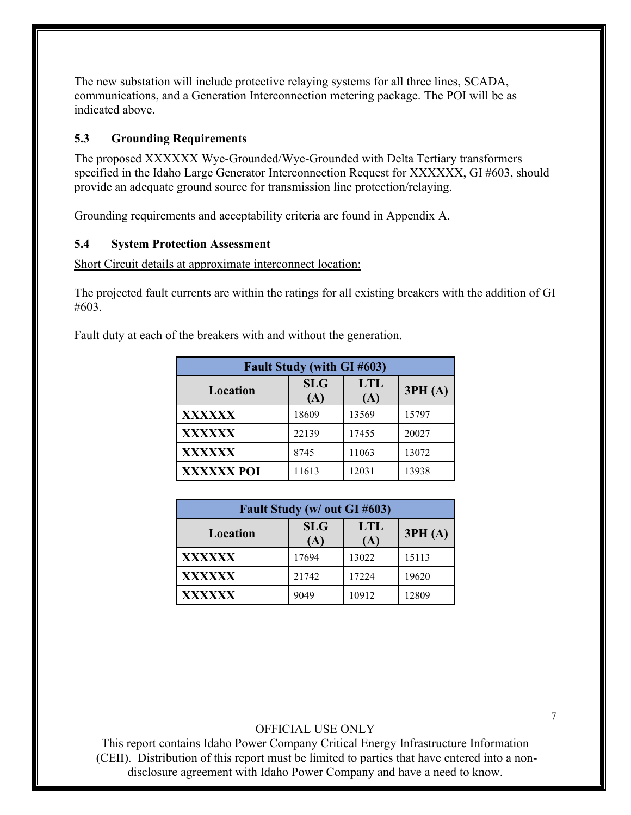The new substation will include protective relaying systems for all three lines, SCADA, communications, and a Generation Interconnection metering package. The POI will be as indicated above.

#### <span id="page-10-0"></span>**5.3 Grounding Requirements**

The proposed XXXXXX Wye-Grounded/Wye-Grounded with Delta Tertiary transformers specified in the Idaho Large Generator Interconnection Request for XXXXXX, GI #603, should provide an adequate ground source for transmission line protection/relaying.

Grounding requirements and acceptability criteria are found in Appendix A.

#### <span id="page-10-1"></span>**5.4 System Protection Assessment**

Short Circuit details at approximate interconnect location:

The projected fault currents are within the ratings for all existing breakers with the addition of GI #603.

Fault duty at each of the breakers with and without the generation.

| <b>Fault Study (with GI #603)</b> |                   |                   |        |
|-----------------------------------|-------------------|-------------------|--------|
| Location                          | <b>SLG</b><br>(A) | <b>LTL</b><br>(A) | 3PH(A) |
| <b>XXXXXX</b>                     | 18609             | 13569             | 15797  |
| <b>XXXXXX</b>                     | 22139             | 17455             | 20027  |
| <b>XXXXXX</b>                     | 8745              | 11063             | 13072  |
| <b>XXXXXX POI</b>                 | 11613             | 12031             | 13938  |

| Fault Study (w/ out GI #603) |                   |                   |        |
|------------------------------|-------------------|-------------------|--------|
| Location                     | <b>SLG</b><br>(A) | <b>LTL</b><br>(A) | 3PH(A) |
| <b>XXXXXX</b>                | 17694             | 13022             | 15113  |
| <b>XXXXXX</b>                | 21742             | 17224             | 19620  |
| <b>XXXXXX</b>                | 9049              | 10912             | 12809  |

#### OFFICIAL USE ONLY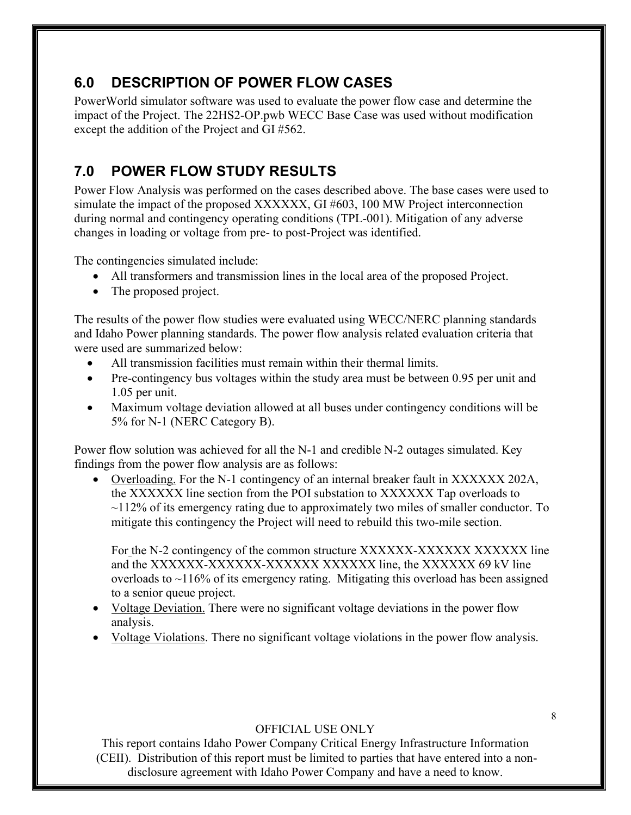# <span id="page-11-0"></span>**6.0 DESCRIPTION OF POWER FLOW CASES**

PowerWorld simulator software was used to evaluate the power flow case and determine the impact of the Project. The 22HS2-OP.pwb WECC Base Case was used without modification except the addition of the Project and GI #562.

# <span id="page-11-1"></span>**7.0 POWER FLOW STUDY RESULTS**

Power Flow Analysis was performed on the cases described above. The base cases were used to simulate the impact of the proposed XXXXXX, GI #603, 100 MW Project interconnection during normal and contingency operating conditions (TPL-001). Mitigation of any adverse changes in loading or voltage from pre- to post-Project was identified.

The contingencies simulated include:

- All transformers and transmission lines in the local area of the proposed Project.
- The proposed project.

The results of the power flow studies were evaluated using WECC/NERC planning standards and Idaho Power planning standards. The power flow analysis related evaluation criteria that were used are summarized below:

- All transmission facilities must remain within their thermal limits.
- Pre-contingency bus voltages within the study area must be between 0.95 per unit and 1.05 per unit.
- Maximum voltage deviation allowed at all buses under contingency conditions will be 5% for N-1 (NERC Category B).

Power flow solution was achieved for all the N-1 and credible N-2 outages simulated. Key findings from the power flow analysis are as follows:

• Overloading. For the N-1 contingency of an internal breaker fault in XXXXXX 202A, the XXXXXX line section from the POI substation to XXXXXX Tap overloads to  $\sim$ 112% of its emergency rating due to approximately two miles of smaller conductor. To mitigate this contingency the Project will need to rebuild this two-mile section.

For the N-2 contingency of the common structure XXXXXX-XXXXXX XXXXXX line and the XXXXXX-XXXXXX-XXXXXXX XXXXXXX line, the XXXXXX 69 kV line overloads to  $\sim$ 116% of its emergency rating. Mitigating this overload has been assigned to a senior queue project.

- Voltage Deviation. There were no significant voltage deviations in the power flow analysis.
- Voltage Violations. There no significant voltage violations in the power flow analysis.

#### OFFICIAL USE ONLY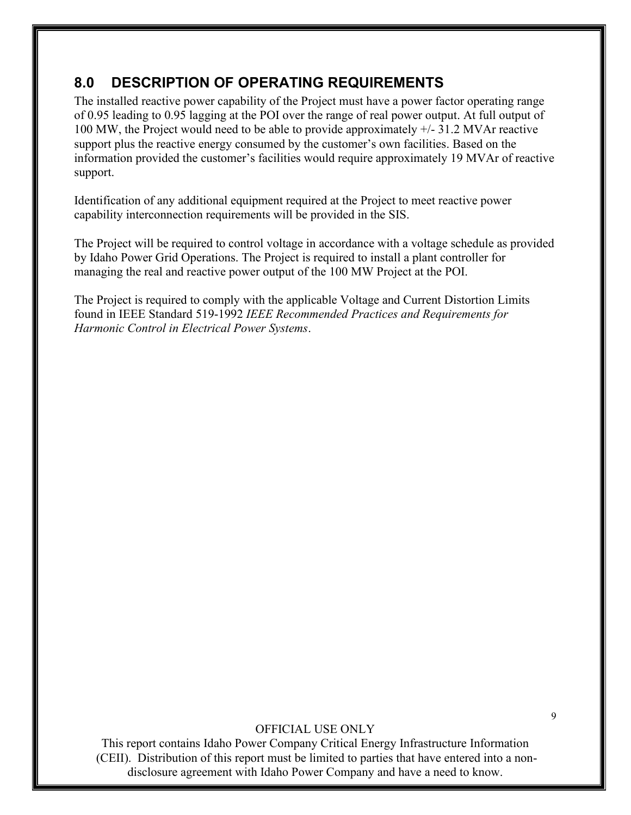# <span id="page-12-0"></span>**8.0 DESCRIPTION OF OPERATING REQUIREMENTS**

The installed reactive power capability of the Project must have a power factor operating range of 0.95 leading to 0.95 lagging at the POI over the range of real power output. At full output of 100 MW, the Project would need to be able to provide approximately +/- 31.2 MVAr reactive support plus the reactive energy consumed by the customer's own facilities. Based on the information provided the customer's facilities would require approximately 19 MVAr of reactive support.

Identification of any additional equipment required at the Project to meet reactive power capability interconnection requirements will be provided in the SIS.

The Project will be required to control voltage in accordance with a voltage schedule as provided by Idaho Power Grid Operations. The Project is required to install a plant controller for managing the real and reactive power output of the 100 MW Project at the POI.

The Project is required to comply with the applicable Voltage and Current Distortion Limits found in IEEE Standard 519-1992 *IEEE Recommended Practices and Requirements for Harmonic Control in Electrical Power Systems*.

#### OFFICIAL USE ONLY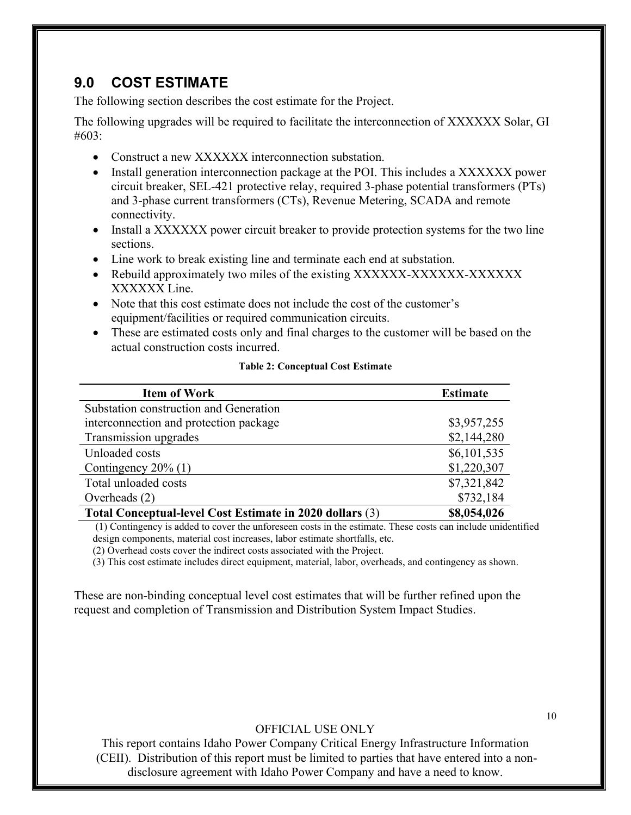### <span id="page-13-0"></span>**9.0 COST ESTIMATE**

The following section describes the cost estimate for the Project.

The following upgrades will be required to facilitate the interconnection of XXXXXX Solar, GI #603:

- Construct a new XXXXXX interconnection substation.
- Install generation interconnection package at the POI. This includes a XXXXXX power circuit breaker, SEL-421 protective relay, required 3-phase potential transformers (PTs) and 3-phase current transformers (CTs), Revenue Metering, SCADA and remote connectivity.
- Install a XXXXXX power circuit breaker to provide protection systems for the two line sections.
- Line work to break existing line and terminate each end at substation.
- Rebuild approximately two miles of the existing XXXXXX-XXXXXX-XXXXXX XXXXXX Line.
- Note that this cost estimate does not include the cost of the customer's equipment/facilities or required communication circuits.
- These are estimated costs only and final charges to the customer will be based on the actual construction costs incurred.

<span id="page-13-1"></span>

| <b>Item of Work</b>                                      | <b>Estimate</b> |
|----------------------------------------------------------|-----------------|
| Substation construction and Generation                   |                 |
| interconnection and protection package                   | \$3,957,255     |
| Transmission upgrades                                    | \$2,144,280     |
| Unloaded costs                                           | \$6,101,535     |
| Contingency $20\%$ (1)                                   | \$1,220,307     |
| Total unloaded costs                                     | \$7,321,842     |
| Overheads (2)                                            | \$732,184       |
| Total Conceptual-level Cost Estimate in 2020 dollars (3) | \$8,054,026     |

#### **Table 2: Conceptual Cost Estimate**

(1) Contingency is added to cover the unforeseen costs in the estimate. These costs can include unidentified design components, material cost increases, labor estimate shortfalls, etc.

(2) Overhead costs cover the indirect costs associated with the Project.

(3) This cost estimate includes direct equipment, material, labor, overheads, and contingency as shown.

These are non-binding conceptual level cost estimates that will be further refined upon the request and completion of Transmission and Distribution System Impact Studies.

#### OFFICIAL USE ONLY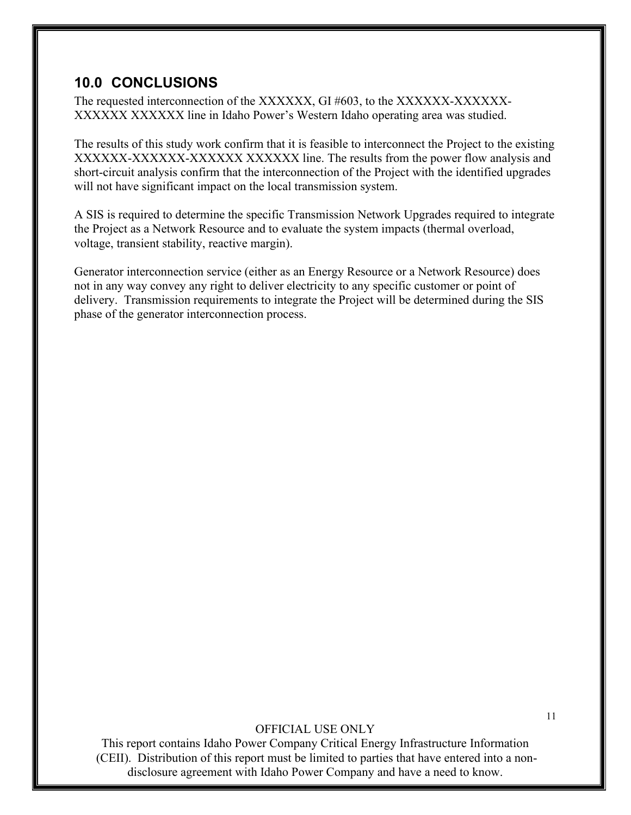### <span id="page-14-0"></span>**10.0 CONCLUSIONS**

The requested interconnection of the XXXXXX, GI #603, to the XXXXXX-XXXXXX-XXXXXX XXXXXX line in Idaho Power's Western Idaho operating area was studied.

The results of this study work confirm that it is feasible to interconnect the Project to the existing XXXXXX-XXXXX-XXXXXXXXXXXXXXX line. The results from the power flow analysis and short-circuit analysis confirm that the interconnection of the Project with the identified upgrades will not have significant impact on the local transmission system.

A SIS is required to determine the specific Transmission Network Upgrades required to integrate the Project as a Network Resource and to evaluate the system impacts (thermal overload, voltage, transient stability, reactive margin).

Generator interconnection service (either as an Energy Resource or a Network Resource) does not in any way convey any right to deliver electricity to any specific customer or point of delivery. Transmission requirements to integrate the Project will be determined during the SIS phase of the generator interconnection process.

#### OFFICIAL USE ONLY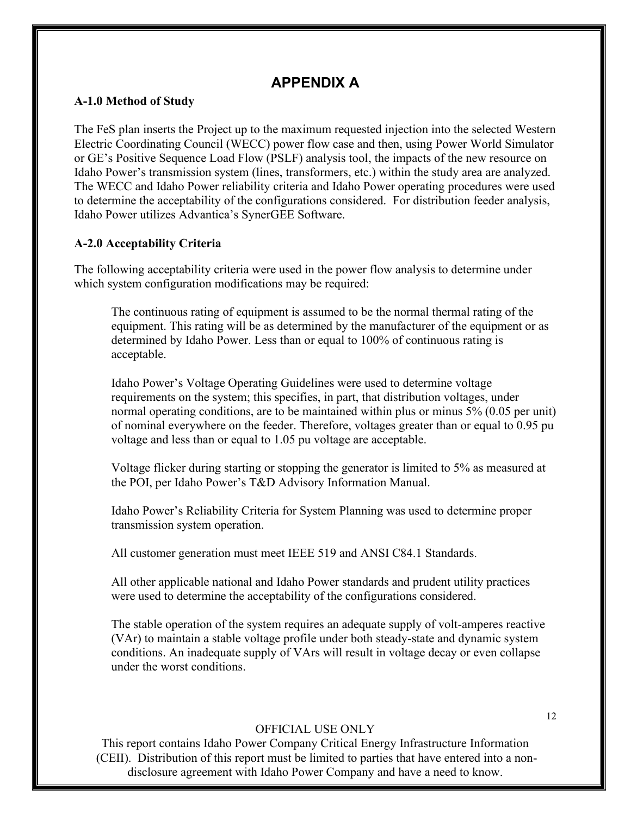### **APPENDIX A**

#### <span id="page-15-1"></span><span id="page-15-0"></span>**A-1.0 Method of Study**

The FeS plan inserts the Project up to the maximum requested injection into the selected Western Electric Coordinating Council (WECC) power flow case and then, using Power World Simulator or GE's Positive Sequence Load Flow (PSLF) analysis tool, the impacts of the new resource on Idaho Power's transmission system (lines, transformers, etc.) within the study area are analyzed. The WECC and Idaho Power reliability criteria and Idaho Power operating procedures were used to determine the acceptability of the configurations considered. For distribution feeder analysis, Idaho Power utilizes Advantica's SynerGEE Software.

#### <span id="page-15-2"></span>**A-2.0 Acceptability Criteria**

The following acceptability criteria were used in the power flow analysis to determine under which system configuration modifications may be required:

The continuous rating of equipment is assumed to be the normal thermal rating of the equipment. This rating will be as determined by the manufacturer of the equipment or as determined by Idaho Power. Less than or equal to 100% of continuous rating is acceptable.

Idaho Power's Voltage Operating Guidelines were used to determine voltage requirements on the system; this specifies, in part, that distribution voltages, under normal operating conditions, are to be maintained within plus or minus 5% (0.05 per unit) of nominal everywhere on the feeder. Therefore, voltages greater than or equal to 0.95 pu voltage and less than or equal to 1.05 pu voltage are acceptable.

Voltage flicker during starting or stopping the generator is limited to 5% as measured at the POI, per Idaho Power's T&D Advisory Information Manual.

Idaho Power's Reliability Criteria for System Planning was used to determine proper transmission system operation.

All customer generation must meet IEEE 519 and ANSI C84.1 Standards.

All other applicable national and Idaho Power standards and prudent utility practices were used to determine the acceptability of the configurations considered.

The stable operation of the system requires an adequate supply of volt-amperes reactive (VAr) to maintain a stable voltage profile under both steady-state and dynamic system conditions. An inadequate supply of VArs will result in voltage decay or even collapse under the worst conditions.

#### OFFICIAL USE ONLY

This report contains Idaho Power Company Critical Energy Infrastructure Information (CEII). Distribution of this report must be limited to parties that have entered into a nondisclosure agreement with Idaho Power Company and have a need to know.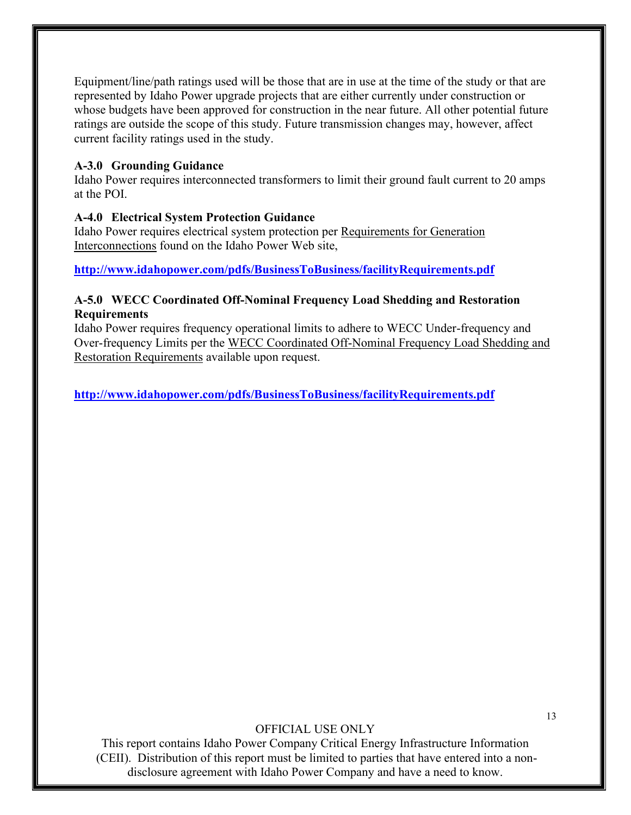Equipment/line/path ratings used will be those that are in use at the time of the study or that are represented by Idaho Power upgrade projects that are either currently under construction or whose budgets have been approved for construction in the near future. All other potential future ratings are outside the scope of this study. Future transmission changes may, however, affect current facility ratings used in the study.

#### <span id="page-16-0"></span>**A-3.0 Grounding Guidance**

Idaho Power requires interconnected transformers to limit their ground fault current to 20 amps at the POI.

#### <span id="page-16-1"></span>**A-4.0 Electrical System Protection Guidance**

Idaho Power requires electrical system protection per Requirements for Generation Interconnections found on the Idaho Power Web site,

**<http://www.idahopower.com/pdfs/BusinessToBusiness/facilityRequirements.pdf>**

#### <span id="page-16-2"></span>**A-5.0 WECC Coordinated Off-Nominal Frequency Load Shedding and Restoration Requirements**

Idaho Power requires frequency operational limits to adhere to WECC Under-frequency and Over-frequency Limits per the WECC Coordinated Off-Nominal Frequency Load Shedding and Restoration Requirements available upon request.

**<http://www.idahopower.com/pdfs/BusinessToBusiness/facilityRequirements.pdf>**

#### OFFICIAL USE ONLY